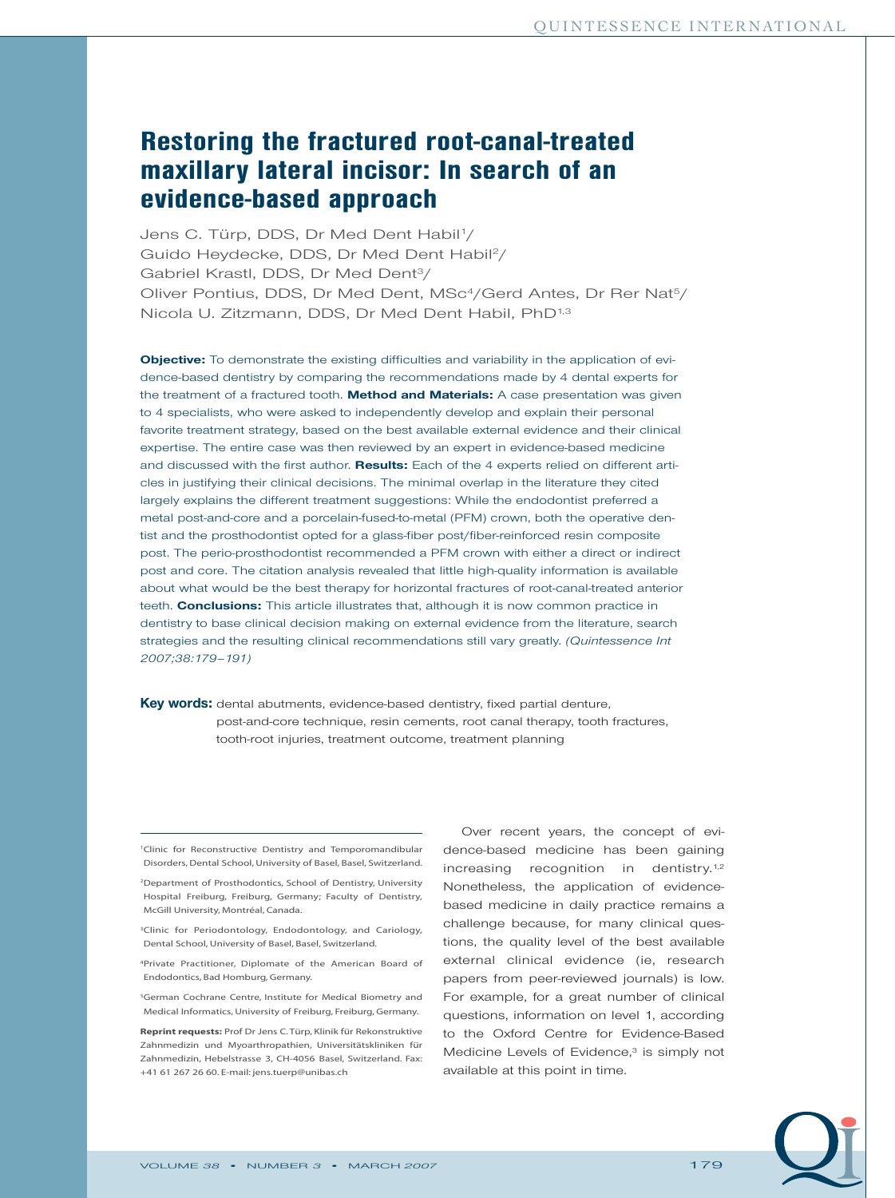# **Restoring the fractured root-canal-treated maxillary lateral incisor: In search of an evidence-based approach**

Jens C. Türp, DDS, Dr Med Dent Habil1/ Guido Heydecke, DDS, Dr Med Dent Habil2/ Gabriel Krastl, DDS, Dr Med Dent3/ Oliver Pontius, DDS, Dr Med Dent, MSc<sup>4</sup>/Gerd Antes, Dr Rer Nat<sup>5</sup>/ Nicola U. Zitzmann, DDS, Dr Med Dent Habil, PhD1,3

**Objective:** To demonstrate the existing difficulties and variability in the application of evidence-based dentistry by comparing the recommendations made by 4 dental experts for the treatment of a fractured tooth. **Method and Materials:** A case presentation was given to 4 specialists, who were asked to independently develop and explain their personal favorite treatment strategy, based on the best available external evidence and their clinical expertise. The entire case was then reviewed by an expert in evidence-based medicine and discussed with the first author. **Results:** Each of the 4 experts relied on different articles in justifying their clinical decisions. The minimal overlap in the literature they cited largely explains the different treatment suggestions: While the endodontist preferred a metal post-and-core and a porcelain-fused-to-metal (PFM) crown, both the operative dentist and the prosthodontist opted for a glass-fiber post/fiber-reinforced resin composite post. The perio-prosthodontist recommended a PFM crown with either a direct or indirect post and core. The citation analysis revealed that little high-quality information is available about what would be the best therapy for horizontal fractures of root-canal-treated anterior teeth. **Conclusions:** This article illustrates that, although it is now common practice in dentistry to base clinical decision making on external evidence from the literature, search strategies and the resulting clinical recommendations still vary greatly. *(Quintessence Int 2007;38:179–191)*

**Key words:** dental abutments, evidence-based dentistry, fixed partial denture, post-and-core technique, resin cements, root canal therapy, tooth fractures, tooth-root injuries, treatment outcome, treatment planning

1Clinic for Reconstructive Dentistry and Temporomandibular Disorders, Dental School, University of Basel, Basel, Switzerland.

2Department of Prosthodontics, School of Dentistry, University Hospital Freiburg, Freiburg, Germany; Faculty of Dentistry, McGill University, Montréal, Canada.

<sup>3</sup>Clinic for Periodontology, Endodontology, and Cariology, Dental School, University of Basel, Basel, Switzerland.

4Private Practitioner, Diplomate of the American Board of Endodontics, Bad Homburg, Germany.

5German Cochrane Centre, Institute for Medical Biometry and Medical Informatics, University of Freiburg, Freiburg, Germany.

**Reprint requests:** Prof Dr Jens C.Türp, Klinik für Rekonstruktive Zahnmedizin und Myoarthropathien, Universitätskliniken für Zahnmedizin, Hebelstrasse 3, CH-4056 Basel, Switzerland. Fax: +41 61 267 26 60. E-mail: jens.tuerp@unibas.ch

Over recent years, the concept of evidence-based medicine has been gaining increasing recognition in dentistry.<sup>1,2</sup> Nonetheless, the application of evidencebased medicine in daily practice remains a challenge because, for many clinical questions, the quality level of the best available external clinical evidence (ie, research papers from peer-reviewed journals) is low. For example, for a great number of clinical questions, information on level 1, according to the Oxford Centre for Evidence-Based Medicine Levels of Evidence,<sup>3</sup> is simply not available at this point in time.

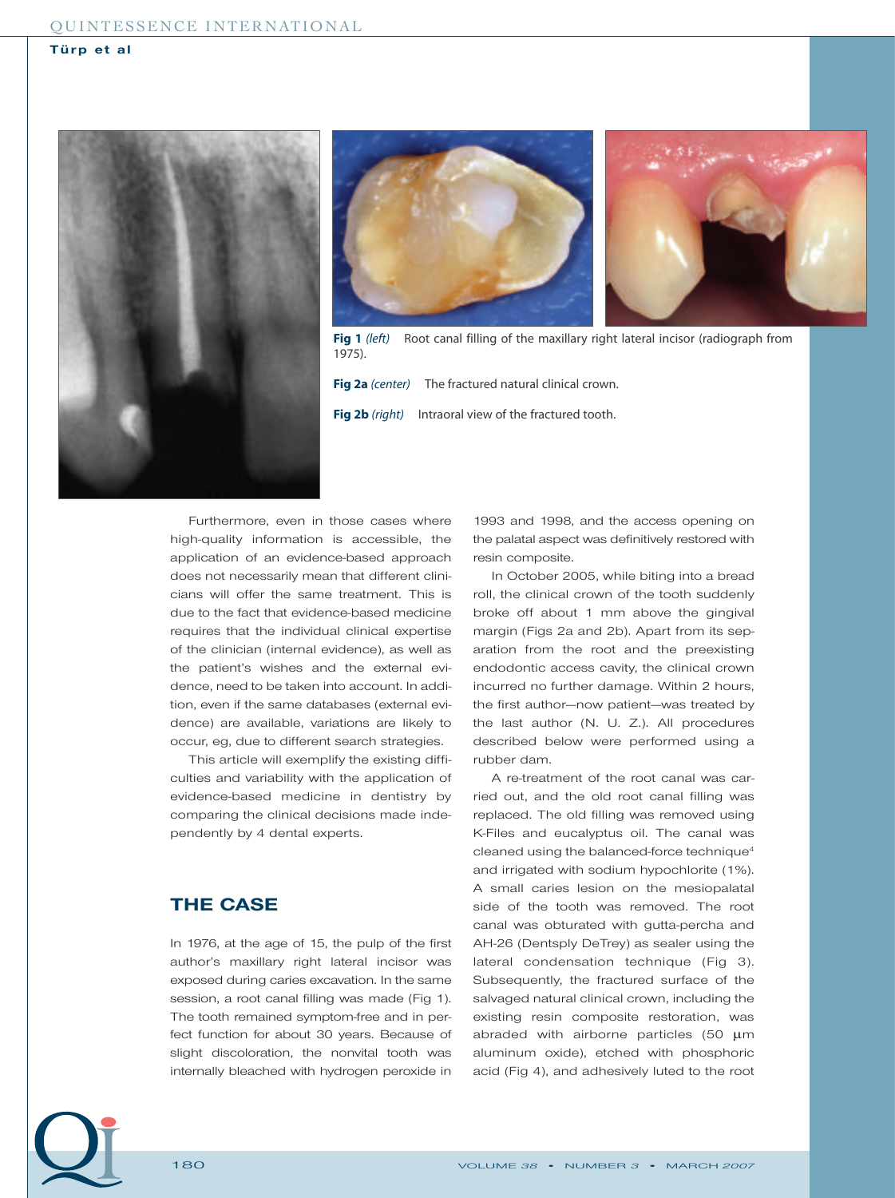



**Fig 1** *(left)* Root canal filling of the maxillary right lateral incisor (radiograph from 1975).

**Fig 2a** *(center)* The fractured natural clinical crown. **Fig 2b** *(right)* Intraoral view of the fractured tooth.

Furthermore, even in those cases where high-quality information is accessible, the application of an evidence-based approach does not necessarily mean that different clinicians will offer the same treatment. This is due to the fact that evidence-based medicine requires that the individual clinical expertise of the clinician (internal evidence), as well as the patient's wishes and the external evidence, need to be taken into account. In addition, even if the same databases (external evidence) are available, variations are likely to occur, eg, due to different search strategies.

This article will exemplify the existing difficulties and variability with the application of evidence-based medicine in dentistry by comparing the clinical decisions made independently by 4 dental experts.

# **THE CASE**

In 1976, at the age of 15, the pulp of the first author's maxillary right lateral incisor was exposed during caries excavation. In the same session, a root canal filling was made (Fig 1). The tooth remained symptom-free and in perfect function for about 30 years. Because of slight discoloration, the nonvital tooth was internally bleached with hydrogen peroxide in

1993 and 1998, and the access opening on the palatal aspect was definitively restored with resin composite.

In October 2005, while biting into a bread roll, the clinical crown of the tooth suddenly broke off about 1 mm above the gingival margin (Figs 2a and 2b). Apart from its separation from the root and the preexisting endodontic access cavity, the clinical crown incurred no further damage. Within 2 hours, the first author—now patient—was treated by the last author (N. U. Z.). All procedures described below were performed using a rubber dam.

A re-treatment of the root canal was carried out, and the old root canal filling was replaced. The old filling was removed using K-Files and eucalyptus oil. The canal was cleaned using the balanced-force technique4 and irrigated with sodium hypochlorite (1%). A small caries lesion on the mesiopalatal side of the tooth was removed. The root canal was obturated with gutta-percha and AH-26 (Dentsply DeTrey) as sealer using the lateral condensation technique (Fig 3). Subsequently, the fractured surface of the salvaged natural clinical crown, including the existing resin composite restoration, was abraded with airborne particles (50 µm aluminum oxide), etched with phosphoric acid (Fig 4), and adhesively luted to the root

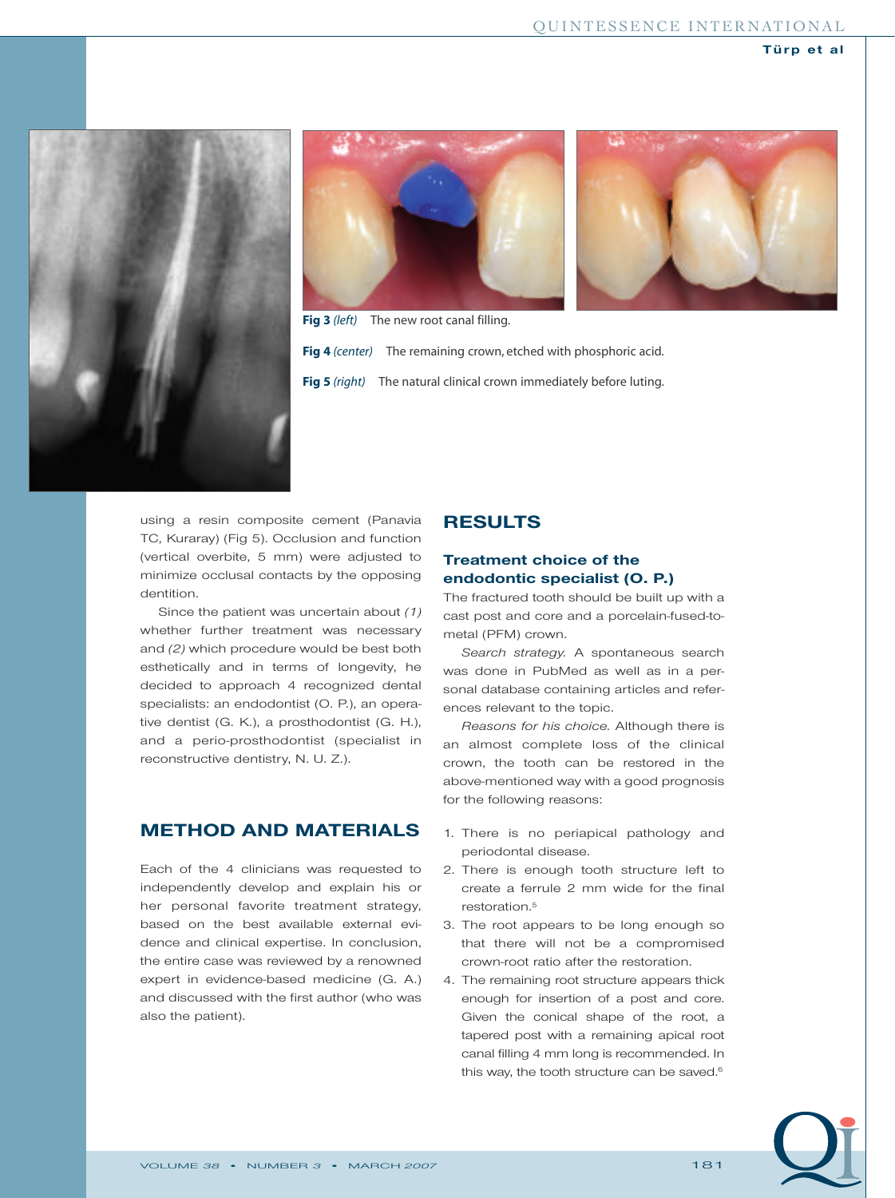





**Fig 3** *(left)* The new root canal filling.

**Fig 4** *(center)* The remaining crown, etched with phosphoric acid. **Fig 5** *(right)* The natural clinical crown immediately before luting.

using a resin composite cement (Panavia TC, Kuraray) (Fig 5). Occlusion and function (vertical overbite, 5 mm) were adjusted to minimize occlusal contacts by the opposing dentition.

Since the patient was uncertain about *(1)* whether further treatment was necessary and *(2)* which procedure would be best both esthetically and in terms of longevity, he decided to approach 4 recognized dental specialists: an endodontist (O. P.), an operative dentist (G. K.), a prosthodontist (G. H.), and a perio-prosthodontist (specialist in reconstructive dentistry, N. U. Z.).

# **METHOD AND MATERIALS**

Each of the 4 clinicians was requested to independently develop and explain his or her personal favorite treatment strategy, based on the best available external evidence and clinical expertise. In conclusion, the entire case was reviewed by a renowned expert in evidence-based medicine (G. A.) and discussed with the first author (who was also the patient).

# **RESULTS**

# **Treatment choice of the endodontic specialist (O. P.)**

The fractured tooth should be built up with a cast post and core and a porcelain-fused-tometal (PFM) crown.

*Search strategy.* A spontaneous search was done in PubMed as well as in a personal database containing articles and references relevant to the topic.

*Reasons for his choice.* Although there is an almost complete loss of the clinical crown, the tooth can be restored in the above-mentioned way with a good prognosis for the following reasons:

- 1. There is no periapical pathology and periodontal disease.
- 2. There is enough tooth structure left to create a ferrule 2 mm wide for the final restoration.<sup>5</sup>
- 3. The root appears to be long enough so that there will not be a compromised crown-root ratio after the restoration.
- 4. The remaining root structure appears thick enough for insertion of a post and core. Given the conical shape of the root, a tapered post with a remaining apical root canal filling 4 mm long is recommended. In this way, the tooth structure can be saved.<sup>6</sup>

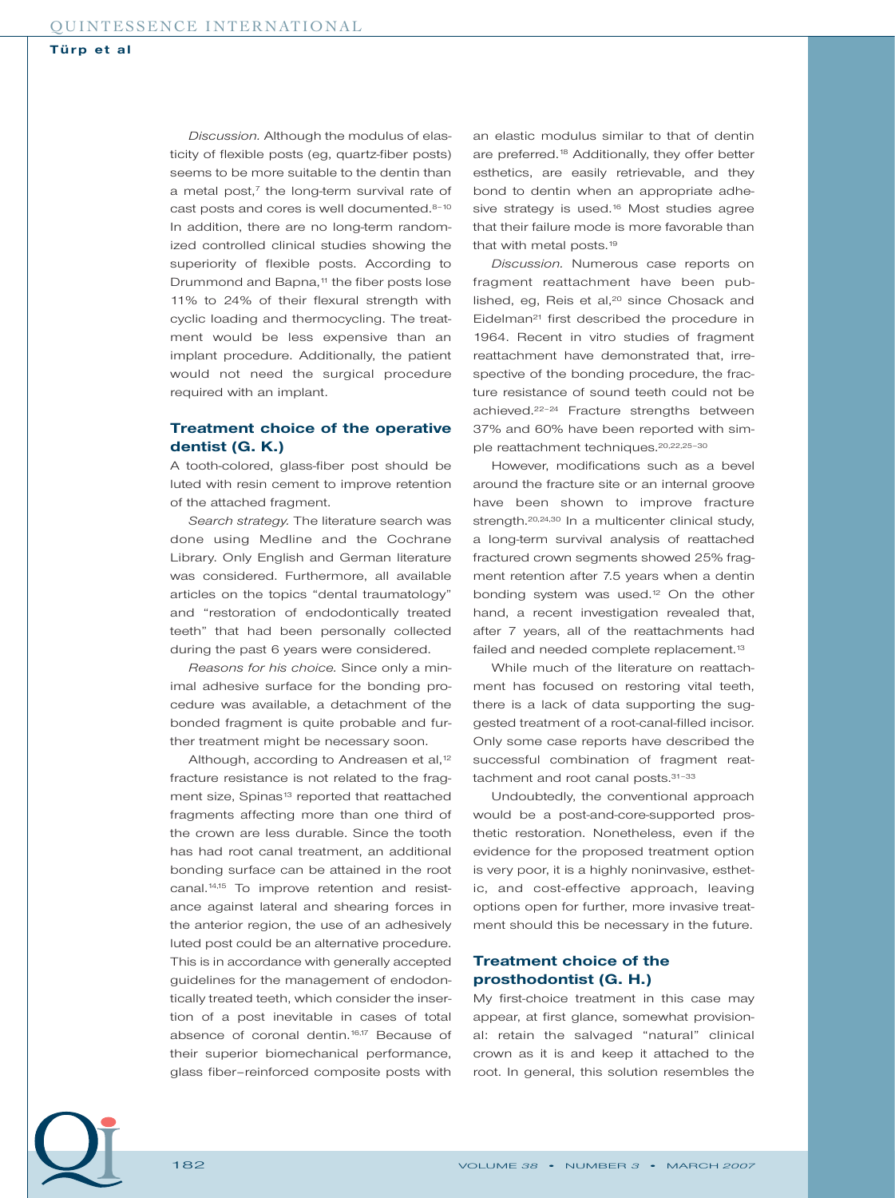*Discussion.* Although the modulus of elasticity of flexible posts (eg, quartz-fiber posts) seems to be more suitable to the dentin than a metal post, $^7$  the long-term survival rate of cast posts and cores is well documented.<sup>8-10</sup> In addition, there are no long-term randomized controlled clinical studies showing the superiority of flexible posts. According to Drummond and Bapna,<sup>11</sup> the fiber posts lose 11% to 24% of their flexural strength with cyclic loading and thermocycling. The treatment would be less expensive than an implant procedure. Additionally, the patient would not need the surgical procedure required with an implant.

## **Treatment choice of the operative dentist (G. K.)**

A tooth-colored, glass-fiber post should be luted with resin cement to improve retention of the attached fragment.

*Search strategy.* The literature search was done using Medline and the Cochrane Library. Only English and German literature was considered. Furthermore, all available articles on the topics "dental traumatology" and "restoration of endodontically treated teeth" that had been personally collected during the past 6 years were considered.

*Reasons for his choice.* Since only a minimal adhesive surface for the bonding procedure was available, a detachment of the bonded fragment is quite probable and further treatment might be necessary soon.

Although, according to Andreasen et al,<sup>12</sup> fracture resistance is not related to the fragment size, Spinas<sup>13</sup> reported that reattached fragments affecting more than one third of the crown are less durable. Since the tooth has had root canal treatment, an additional bonding surface can be attained in the root canal.<sup>14,15</sup> To improve retention and resistance against lateral and shearing forces in the anterior region, the use of an adhesively luted post could be an alternative procedure. This is in accordance with generally accepted guidelines for the management of endodontically treated teeth, which consider the insertion of a post inevitable in cases of total absence of coronal dentin.<sup>16,17</sup> Because of their superior biomechanical performance, glass fiber–reinforced composite posts with

an elastic modulus similar to that of dentin are preferred.<sup>18</sup> Additionally, they offer better esthetics, are easily retrievable, and they bond to dentin when an appropriate adhesive strategy is used.<sup>16</sup> Most studies agree that their failure mode is more favorable than that with metal posts.<sup>19</sup>

*Discussion.* Numerous case reports on fragment reattachment have been published, eg, Reis et al, $20$  since Chosack and Eidelman<sup>21</sup> first described the procedure in 1964. Recent in vitro studies of fragment reattachment have demonstrated that, irrespective of the bonding procedure, the fracture resistance of sound teeth could not be achieved.<sup>22-24</sup> Fracture strengths between 37% and 60% have been reported with simple reattachment techniques.20,22,25–30

However, modifications such as a bevel around the fracture site or an internal groove have been shown to improve fracture strength.<sup>20,24,30</sup> In a multicenter clinical study, a long-term survival analysis of reattached fractured crown segments showed 25% fragment retention after 7.5 years when a dentin bonding system was used.<sup>12</sup> On the other hand, a recent investigation revealed that, after 7 years, all of the reattachments had failed and needed complete replacement.<sup>13</sup>

While much of the literature on reattachment has focused on restoring vital teeth, there is a lack of data supporting the suggested treatment of a root-canal-filled incisor. Only some case reports have described the successful combination of fragment reattachment and root canal posts.<sup>31-33</sup>

Undoubtedly, the conventional approach would be a post-and-core-supported prosthetic restoration. Nonetheless, even if the evidence for the proposed treatment option is very poor, it is a highly noninvasive, esthetic, and cost-effective approach, leaving options open for further, more invasive treatment should this be necessary in the future.

## **Treatment choice of the prosthodontist (G. H.)**

My first-choice treatment in this case may appear, at first glance, somewhat provisional: retain the salvaged "natural" clinical crown as it is and keep it attached to the root. In general, this solution resembles the

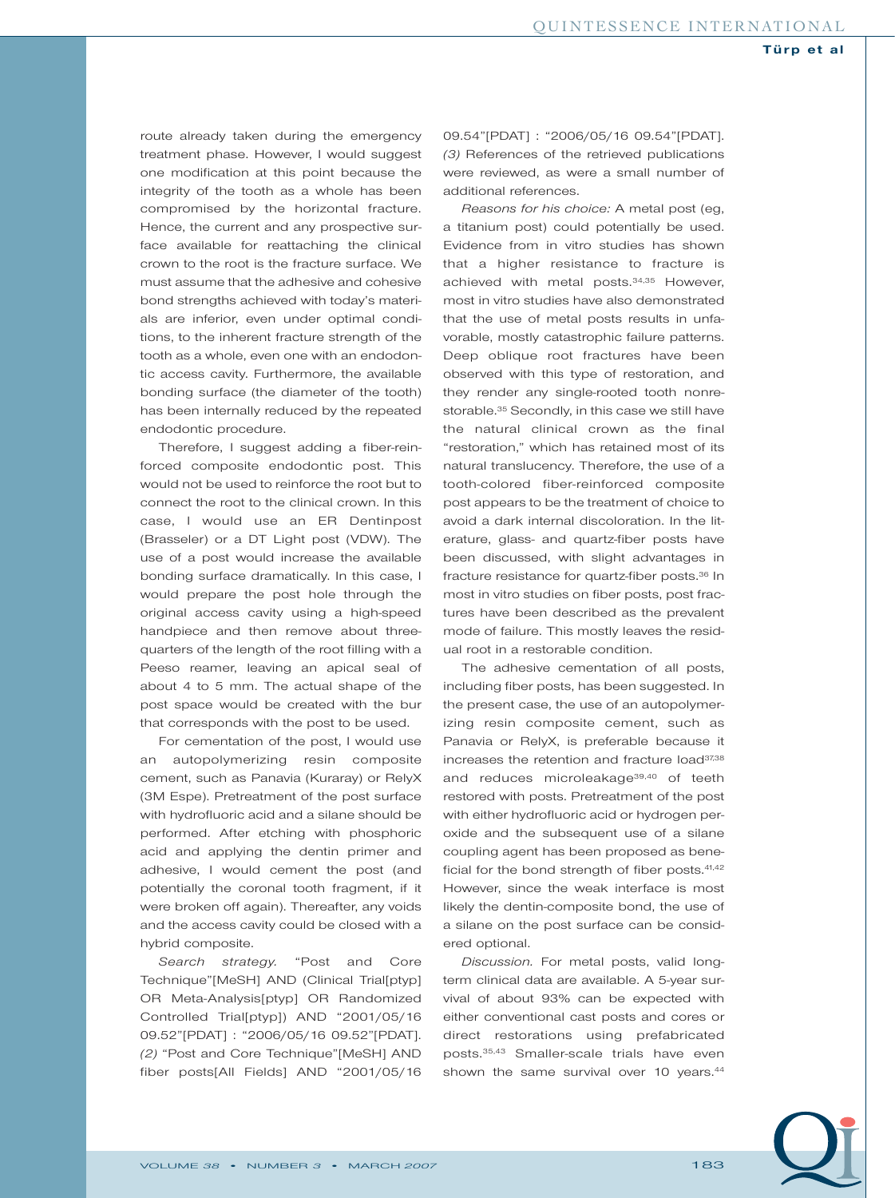route already taken during the emergency treatment phase. However, I would suggest one modification at this point because the integrity of the tooth as a whole has been compromised by the horizontal fracture. Hence, the current and any prospective surface available for reattaching the clinical crown to the root is the fracture surface. We must assume that the adhesive and cohesive bond strengths achieved with today's materials are inferior, even under optimal conditions, to the inherent fracture strength of the tooth as a whole, even one with an endodontic access cavity. Furthermore, the available bonding surface (the diameter of the tooth) has been internally reduced by the repeated endodontic procedure.

Therefore, I suggest adding a fiber-reinforced composite endodontic post. This would not be used to reinforce the root but to connect the root to the clinical crown. In this case, I would use an ER Dentinpost (Brasseler) or a DT Light post (VDW). The use of a post would increase the available bonding surface dramatically. In this case, I would prepare the post hole through the original access cavity using a high-speed handpiece and then remove about threequarters of the length of the root filling with a Peeso reamer, leaving an apical seal of about 4 to 5 mm. The actual shape of the post space would be created with the bur that corresponds with the post to be used.

For cementation of the post, I would use an autopolymerizing resin composite cement, such as Panavia (Kuraray) or RelyX (3M Espe). Pretreatment of the post surface with hydrofluoric acid and a silane should be performed. After etching with phosphoric acid and applying the dentin primer and adhesive, I would cement the post (and potentially the coronal tooth fragment, if it were broken off again). Thereafter, any voids and the access cavity could be closed with a hybrid composite.

*Search strategy.* "Post and Core Technique"[MeSH] AND (Clinical Trial[ptyp] OR Meta-Analysis[ptyp] OR Randomized Controlled Trial[ptyp]) AND "2001/05/16 09.52"[PDAT] : "2006/05/16 09.52"[PDAT]. *(2)* "Post and Core Technique"[MeSH] AND fiber posts[All Fields] AND "2001/05/16 09.54"[PDAT] : "2006/05/16 09.54"[PDAT]. *(3)* References of the retrieved publications were reviewed, as were a small number of additional references.

*Reasons for his choice:* A metal post (eg, a titanium post) could potentially be used. Evidence from in vitro studies has shown that a higher resistance to fracture is achieved with metal posts.34,35 However, most in vitro studies have also demonstrated that the use of metal posts results in unfavorable, mostly catastrophic failure patterns. Deep oblique root fractures have been observed with this type of restoration, and they render any single-rooted tooth nonrestorable.<sup>35</sup> Secondly, in this case we still have the natural clinical crown as the final "restoration," which has retained most of its natural translucency. Therefore, the use of a tooth-colored fiber-reinforced composite post appears to be the treatment of choice to avoid a dark internal discoloration. In the literature, glass- and quartz-fiber posts have been discussed, with slight advantages in fracture resistance for quartz-fiber posts.36 In most in vitro studies on fiber posts, post fractures have been described as the prevalent mode of failure. This mostly leaves the residual root in a restorable condition.

The adhesive cementation of all posts, including fiber posts, has been suggested. In the present case, the use of an autopolymerizing resin composite cement, such as Panavia or RelyX, is preferable because it increases the retention and fracture load<sup>37,38</sup> and reduces microleakage<sup>39,40</sup> of teeth restored with posts. Pretreatment of the post with either hydrofluoric acid or hydrogen peroxide and the subsequent use of a silane coupling agent has been proposed as beneficial for the bond strength of fiber posts.<sup>41,42</sup> However, since the weak interface is most likely the dentin-composite bond, the use of a silane on the post surface can be considered optional.

*Discussion.* For metal posts, valid longterm clinical data are available. A 5-year survival of about 93% can be expected with either conventional cast posts and cores or direct restorations using prefabricated posts.35,43 Smaller-scale trials have even shown the same survival over 10 years.<sup>44</sup>

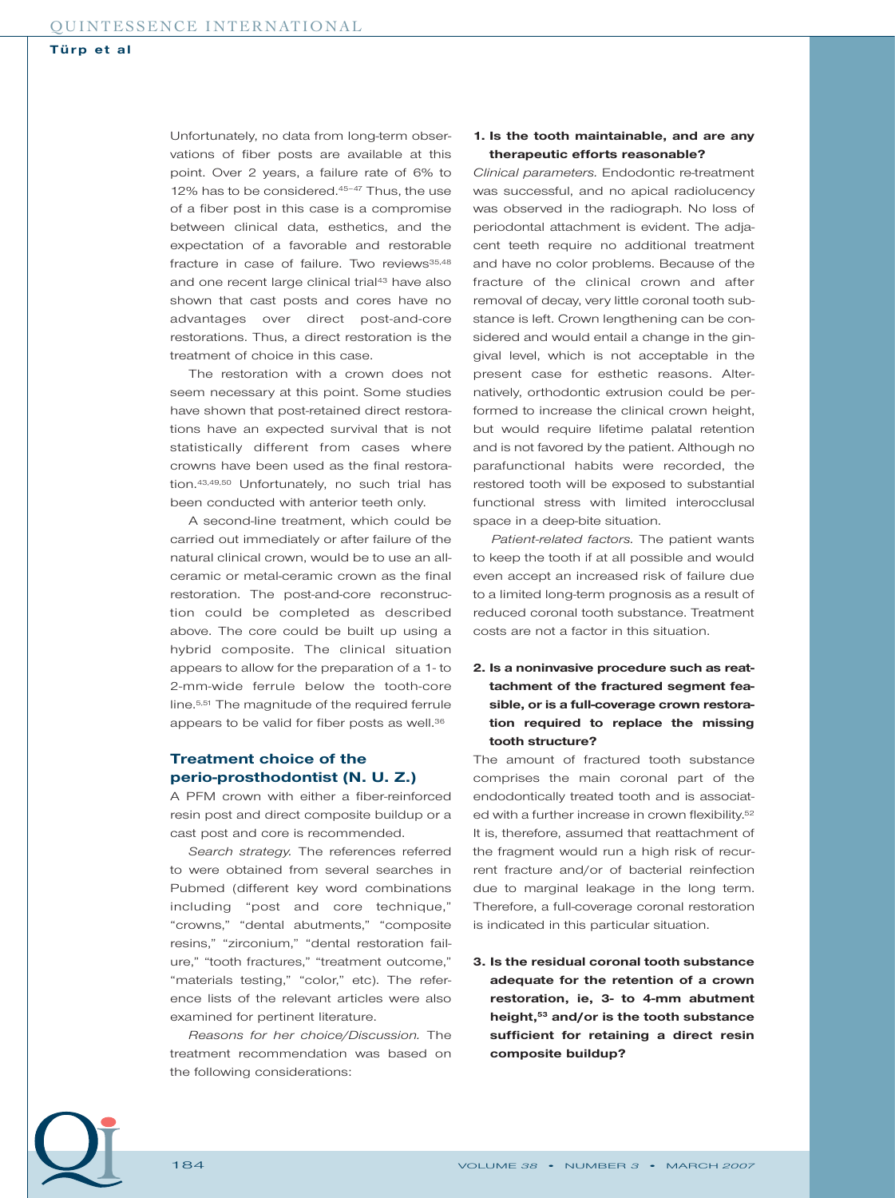Unfortunately, no data from long-term observations of fiber posts are available at this point. Over 2 years, a failure rate of 6% to 12% has to be considered.<sup>45-47</sup> Thus, the use of a fiber post in this case is a compromise between clinical data, esthetics, and the expectation of a favorable and restorable fracture in case of failure. Two reviews<sup>35,48</sup> and one recent large clinical trial<sup>43</sup> have also shown that cast posts and cores have no advantages over direct post-and-core restorations. Thus, a direct restoration is the treatment of choice in this case.

The restoration with a crown does not seem necessary at this point. Some studies have shown that post-retained direct restorations have an expected survival that is not statistically different from cases where crowns have been used as the final restoration.43,49,50 Unfortunately, no such trial has been conducted with anterior teeth only.

A second-line treatment, which could be carried out immediately or after failure of the natural clinical crown, would be to use an allceramic or metal-ceramic crown as the final restoration. The post-and-core reconstruction could be completed as described above. The core could be built up using a hybrid composite. The clinical situation appears to allow for the preparation of a 1- to 2-mm-wide ferrule below the tooth-core line.5,51 The magnitude of the required ferrule appears to be valid for fiber posts as well.<sup>36</sup>

# **Treatment choice of the perio-prosthodontist (N. U. Z.)**

A PFM crown with either a fiber-reinforced resin post and direct composite buildup or a cast post and core is recommended.

*Search strategy.* The references referred to were obtained from several searches in Pubmed (different key word combinations including "post and core technique," "crowns," "dental abutments," "composite resins," "zirconium," "dental restoration failure," "tooth fractures," "treatment outcome," "materials testing," "color," etc). The reference lists of the relevant articles were also examined for pertinent literature.

*Reasons for her choice/Discussion.* The treatment recommendation was based on the following considerations:

#### **1. Is the tooth maintainable, and are any therapeutic efforts reasonable?**

*Clinical parameters.* Endodontic re-treatment was successful, and no apical radiolucency was observed in the radiograph. No loss of periodontal attachment is evident. The adjacent teeth require no additional treatment and have no color problems. Because of the fracture of the clinical crown and after removal of decay, very little coronal tooth substance is left. Crown lengthening can be considered and would entail a change in the gingival level, which is not acceptable in the present case for esthetic reasons. Alternatively, orthodontic extrusion could be performed to increase the clinical crown height, but would require lifetime palatal retention and is not favored by the patient. Although no parafunctional habits were recorded, the restored tooth will be exposed to substantial functional stress with limited interocclusal space in a deep-bite situation.

*Patient-related factors.* The patient wants to keep the tooth if at all possible and would even accept an increased risk of failure due to a limited long-term prognosis as a result of reduced coronal tooth substance. Treatment costs are not a factor in this situation.

## **2. Is a noninvasive procedure such as reattachment of the fractured segment feasible, or is a full-coverage crown restoration required to replace the missing tooth structure?**

The amount of fractured tooth substance comprises the main coronal part of the endodontically treated tooth and is associated with a further increase in crown flexibility.<sup>52</sup> It is, therefore, assumed that reattachment of the fragment would run a high risk of recurrent fracture and/or of bacterial reinfection due to marginal leakage in the long term. Therefore, a full-coverage coronal restoration is indicated in this particular situation.

**3. Is the residual coronal tooth substance adequate for the retention of a crown restoration, ie, 3- to 4-mm abutment height,53 and/or is the tooth substance sufficient for retaining a direct resin composite buildup?**

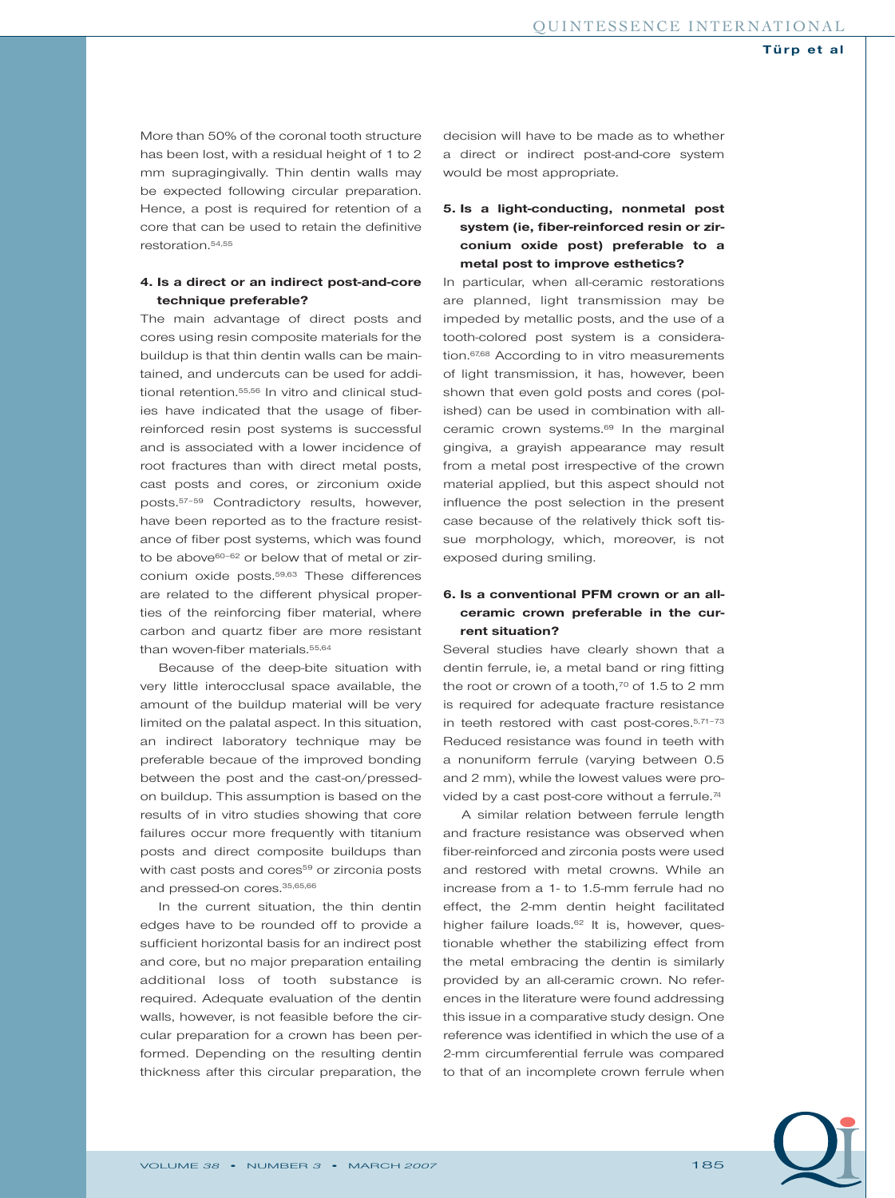More than 50% of the coronal tooth structure has been lost, with a residual height of 1 to 2 mm supragingivally. Thin dentin walls may be expected following circular preparation. Hence, a post is required for retention of a core that can be used to retain the definitive restoration.54,55

#### **4. Is a direct or an indirect post-and-core technique preferable?**

The main advantage of direct posts and cores using resin composite materials for the buildup is that thin dentin walls can be maintained, and undercuts can be used for additional retention.<sup>55,56</sup> In vitro and clinical studies have indicated that the usage of fiberreinforced resin post systems is successful and is associated with a lower incidence of root fractures than with direct metal posts, cast posts and cores, or zirconium oxide posts.57–59 Contradictory results, however, have been reported as to the fracture resistance of fiber post systems, which was found to be above<sup>60-62</sup> or below that of metal or zirconium oxide posts.59,63 These differences are related to the different physical properties of the reinforcing fiber material, where carbon and quartz fiber are more resistant than woven-fiber materials.<sup>55,64</sup>

Because of the deep-bite situation with very little interocclusal space available, the amount of the buildup material will be very limited on the palatal aspect. In this situation, an indirect laboratory technique may be preferable becaue of the improved bonding between the post and the cast-on/pressedon buildup. This assumption is based on the results of in vitro studies showing that core failures occur more frequently with titanium posts and direct composite buildups than with cast posts and cores<sup>59</sup> or zirconia posts and pressed-on cores.35,65,66

In the current situation, the thin dentin edges have to be rounded off to provide a sufficient horizontal basis for an indirect post and core, but no major preparation entailing additional loss of tooth substance is required. Adequate evaluation of the dentin walls, however, is not feasible before the circular preparation for a crown has been performed. Depending on the resulting dentin thickness after this circular preparation, the decision will have to be made as to whether a direct or indirect post-and-core system would be most appropriate.

## **5. Is a light-conducting, nonmetal post system (ie, fiber-reinforced resin or zirconium oxide post) preferable to a metal post to improve esthetics?**

In particular, when all-ceramic restorations are planned, light transmission may be impeded by metallic posts, and the use of a tooth-colored post system is a consideration.<sup>67,68</sup> According to in vitro measurements of light transmission, it has, however, been shown that even gold posts and cores (polished) can be used in combination with allceramic crown systems.<sup>69</sup> In the marginal gingiva, a grayish appearance may result from a metal post irrespective of the crown material applied, but this aspect should not influence the post selection in the present case because of the relatively thick soft tissue morphology, which, moreover, is not exposed during smiling.

# **6. Is a conventional PFM crown or an allceramic crown preferable in the current situation?**

Several studies have clearly shown that a dentin ferrule, ie, a metal band or ring fitting the root or crown of a tooth, $70$  of 1.5 to 2 mm is required for adequate fracture resistance in teeth restored with cast post-cores.5,71–73 Reduced resistance was found in teeth with a nonuniform ferrule (varying between 0.5 and 2 mm), while the lowest values were provided by a cast post-core without a ferrule.<sup>74</sup>

A similar relation between ferrule length and fracture resistance was observed when fiber-reinforced and zirconia posts were used and restored with metal crowns. While an increase from a 1- to 1.5-mm ferrule had no effect, the 2-mm dentin height facilitated higher failure loads.<sup>62</sup> It is, however, questionable whether the stabilizing effect from the metal embracing the dentin is similarly provided by an all-ceramic crown. No references in the literature were found addressing this issue in a comparative study design. One reference was identified in which the use of a 2-mm circumferential ferrule was compared to that of an incomplete crown ferrule when

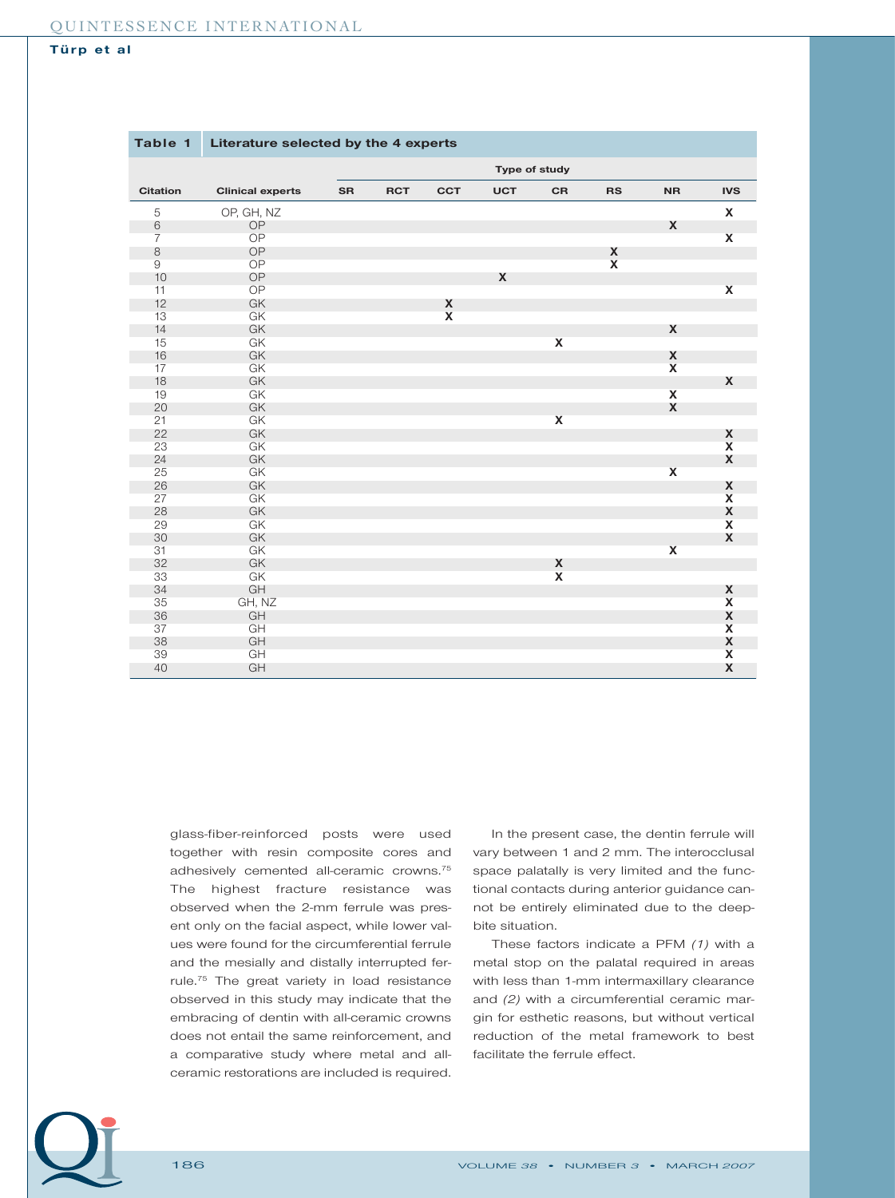| Table 1         | Literature selected by the 4 experts |           |            |                         |            |                    |                    |                    |                         |
|-----------------|--------------------------------------|-----------|------------|-------------------------|------------|--------------------|--------------------|--------------------|-------------------------|
|                 | Type of study                        |           |            |                         |            |                    |                    |                    |                         |
| <b>Citation</b> | <b>Clinical experts</b>              | <b>SR</b> | <b>RCT</b> | <b>CCT</b>              | <b>UCT</b> | <b>CR</b>          | <b>RS</b>          | <b>NR</b>          | <b>IVS</b>              |
| 5               | OP, GH, NZ                           |           |            |                         |            |                    |                    |                    | X                       |
| $6\,$           | OP                                   |           |            |                         |            |                    |                    | X                  |                         |
| $\overline{7}$  | OP                                   |           |            |                         |            |                    |                    |                    | $\pmb{\mathsf{X}}$      |
| $\,8\,$         | <b>OP</b>                            |           |            |                         |            |                    | X                  |                    |                         |
| 9               | OP                                   |           |            |                         |            |                    | $\pmb{\mathsf{x}}$ |                    |                         |
| 10              | OP                                   |           |            |                         | X          |                    |                    |                    |                         |
| 11              | OP                                   |           |            |                         |            |                    |                    |                    | $\pmb{\mathsf{X}}$      |
| 12              | GK                                   |           |            | X                       |            |                    |                    |                    |                         |
| 13              | GK                                   |           |            | $\overline{\mathbf{X}}$ |            |                    |                    |                    |                         |
| 14              | GK                                   |           |            |                         |            |                    |                    | $\boldsymbol{X}$   |                         |
| 15              | GK                                   |           |            |                         |            | $\pmb{\mathsf{X}}$ |                    |                    |                         |
| 16              | GK                                   |           |            |                         |            |                    |                    | X                  |                         |
| 17              | GK                                   |           |            |                         |            |                    |                    | $\mathbf{x}$       |                         |
| 18              | GK                                   |           |            |                         |            |                    |                    |                    | X                       |
| 19              | GK                                   |           |            |                         |            |                    |                    | $\mathbf{x}$       |                         |
| 20              | GK                                   |           |            |                         |            |                    |                    | $\pmb{\mathsf{X}}$ |                         |
| 21              | GK                                   |           |            |                         |            | $\pmb{\mathsf{X}}$ |                    |                    |                         |
| 22              | GK                                   |           |            |                         |            |                    |                    |                    | X                       |
| 23              | GK                                   |           |            |                         |            |                    |                    |                    | $\mathbf{x}$            |
| 24              | GK                                   |           |            |                         |            |                    |                    |                    | X                       |
| 25              | GK                                   |           |            |                         |            |                    |                    | $\pmb{\mathsf{x}}$ |                         |
| 26              | GK                                   |           |            |                         |            |                    |                    |                    | X                       |
| 27              | GK                                   |           |            |                         |            |                    |                    |                    | $\overline{\mathbf{X}}$ |
| 28              | GK                                   |           |            |                         |            |                    |                    |                    | X                       |
| 29              | GK                                   |           |            |                         |            |                    |                    |                    | $\pmb{\mathsf{X}}$      |
| 30              | GK                                   |           |            |                         |            |                    |                    |                    | X                       |
| 31              | GK                                   |           |            |                         |            |                    |                    | $\pmb{\mathsf{X}}$ |                         |
| 32              | GK                                   |           |            |                         |            | X                  |                    |                    |                         |
| 33              | GK                                   |           |            |                         |            | $\pmb{\mathsf{X}}$ |                    |                    |                         |
| 34              | GH                                   |           |            |                         |            |                    |                    |                    | X                       |
| 35              | GH, NZ                               |           |            |                         |            |                    |                    |                    |                         |
| 36              | GH                                   |           |            |                         |            |                    |                    |                    | $\frac{x}{x}$           |
| 37              | GH                                   |           |            |                         |            |                    |                    |                    | $\overline{\mathbf{X}}$ |
| 38              | GH                                   |           |            |                         |            |                    |                    |                    | $\pmb{\mathsf{X}}$      |
| 39              | GH                                   |           |            |                         |            |                    |                    |                    | $\pmb{\mathsf{X}}$      |
| 40              | GH                                   |           |            |                         |            |                    |                    |                    | X                       |

glass-fiber-reinforced posts were used together with resin composite cores and adhesively cemented all-ceramic crowns.75 The highest fracture resistance was observed when the 2-mm ferrule was present only on the facial aspect, while lower values were found for the circumferential ferrule and the mesially and distally interrupted ferrule.75 The great variety in load resistance observed in this study may indicate that the embracing of dentin with all-ceramic crowns does not entail the same reinforcement, and a comparative study where metal and allceramic restorations are included is required.

In the present case, the dentin ferrule will vary between 1 and 2 mm. The interocclusal space palatally is very limited and the functional contacts during anterior guidance cannot be entirely eliminated due to the deepbite situation.

These factors indicate a PFM *(1)* with a metal stop on the palatal required in areas with less than 1-mm intermaxillary clearance and *(2)* with a circumferential ceramic margin for esthetic reasons, but without vertical reduction of the metal framework to best facilitate the ferrule effect.

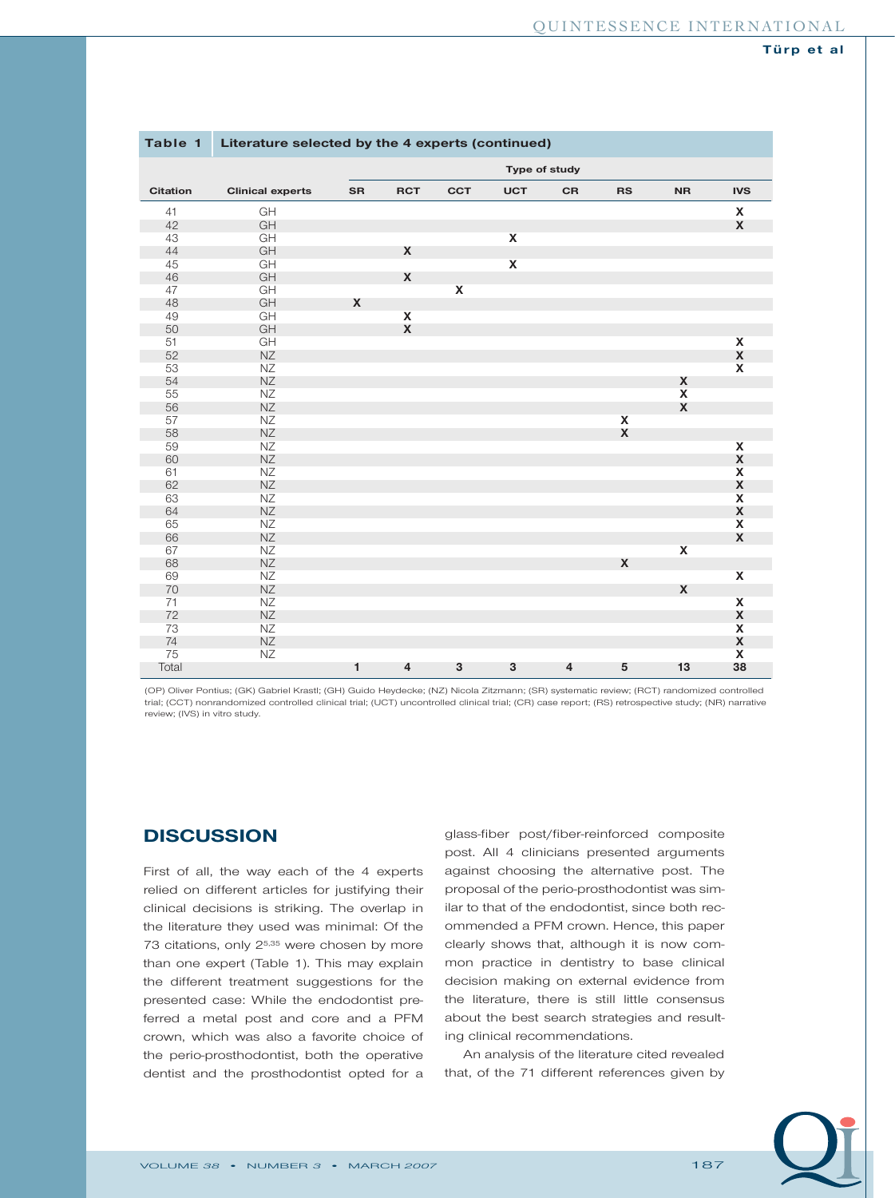| Table 1         | Literature selected by the 4 experts (continued) |               |                    |                    |                         |                         |                         |                    |                         |
|-----------------|--------------------------------------------------|---------------|--------------------|--------------------|-------------------------|-------------------------|-------------------------|--------------------|-------------------------|
|                 |                                                  | Type of study |                    |                    |                         |                         |                         |                    |                         |
| <b>Citation</b> | <b>Clinical experts</b>                          | <b>SR</b>     | <b>RCT</b>         | <b>CCT</b>         | <b>UCT</b>              | CR                      | <b>RS</b>               | <b>NR</b>          | <b>IVS</b>              |
| 41              | GH                                               |               |                    |                    |                         |                         |                         |                    | X                       |
| 42              | GH                                               |               |                    |                    |                         |                         |                         |                    | $\pmb{\mathsf{X}}$      |
| 43              | GH                                               |               |                    |                    | $\mathbf{x}$            |                         |                         |                    |                         |
| 44              | GH                                               |               | $\boldsymbol{X}$   |                    |                         |                         |                         |                    |                         |
| 45              | GH                                               |               |                    |                    | $\overline{\mathbf{X}}$ |                         |                         |                    |                         |
| 46              | GH                                               |               | $\boldsymbol{X}$   |                    |                         |                         |                         |                    |                         |
| 47              | GH                                               |               |                    | $\pmb{\mathsf{x}}$ |                         |                         |                         |                    |                         |
| 48              | GH                                               | X             |                    |                    |                         |                         |                         |                    |                         |
| 49              | GH                                               |               | $\mathbf{x}$       |                    |                         |                         |                         |                    |                         |
| 50              | GH                                               |               | $\pmb{\mathsf{X}}$ |                    |                         |                         |                         |                    |                         |
| 51              | GH                                               |               |                    |                    |                         |                         |                         |                    | $\pmb{\mathsf{X}}$      |
| 52              | $N\mathbb{Z}$                                    |               |                    |                    |                         |                         |                         |                    | $\pmb{\mathsf{X}}$      |
| 53              | NZ                                               |               |                    |                    |                         |                         |                         |                    | $\overline{\mathbf{X}}$ |
| 54              | <b>NZ</b>                                        |               |                    |                    |                         |                         |                         | X                  |                         |
| 55              | <b>NZ</b>                                        |               |                    |                    |                         |                         |                         | $\pmb{\mathsf{x}}$ |                         |
| 56              | <b>NZ</b>                                        |               |                    |                    |                         |                         |                         | $\pmb{\mathsf{X}}$ |                         |
| 57              | NZ                                               |               |                    |                    |                         |                         | $\overline{\mathbf{x}}$ |                    |                         |
| 58              | <b>NZ</b>                                        |               |                    |                    |                         |                         | X                       |                    |                         |
| 59              | <b>NZ</b>                                        |               |                    |                    |                         |                         |                         |                    | $\mathsf{x}$            |
| 60              | <b>NZ</b>                                        |               |                    |                    |                         |                         |                         |                    | $\pmb{\mathsf{X}}$      |
| 61              | NZ                                               |               |                    |                    |                         |                         |                         |                    | $\pmb{\mathsf{X}}$      |
| 62              | <b>NZ</b>                                        |               |                    |                    |                         |                         |                         |                    | $\pmb{\mathsf{X}}$      |
| 63              | ΝZ                                               |               |                    |                    |                         |                         |                         |                    | $\overline{\mathbf{x}}$ |
| 64              | NZ                                               |               |                    |                    |                         |                         |                         |                    | X                       |
| 65              | <b>NZ</b>                                        |               |                    |                    |                         |                         |                         |                    | $\pmb{\mathsf{X}}$      |
| 66              | $N\!Z$                                           |               |                    |                    |                         |                         |                         |                    | $\pmb{\mathsf{X}}$      |
| 67              | <b>NZ</b>                                        |               |                    |                    |                         |                         |                         | $\pmb{\chi}$       |                         |
| 68              | <b>NZ</b>                                        |               |                    |                    |                         |                         | X                       |                    |                         |
| 69              | NZ                                               |               |                    |                    |                         |                         |                         |                    | $\mathbf x$             |
| 70              | <b>NZ</b>                                        |               |                    |                    |                         |                         |                         | X                  |                         |
| 71              | NZ                                               |               |                    |                    |                         |                         |                         |                    | $\mathbf x$             |
| 72              | <b>NZ</b>                                        |               |                    |                    |                         |                         |                         |                    | X                       |
| 73              | <b>NZ</b>                                        |               |                    |                    |                         |                         |                         |                    | $\overline{\mathbf{X}}$ |
| 74              | $N\mathbb{Z}$                                    |               |                    |                    |                         |                         |                         |                    | X                       |
| 75              | <b>NZ</b>                                        |               |                    |                    |                         |                         |                         |                    | $\overline{\mathbf{x}}$ |
| Total           |                                                  | 1             | $\overline{4}$     | 3                  | 3                       | $\overline{\mathbf{4}}$ | 5                       | 13                 | 38                      |

(OP) Oliver Pontius; (GK) Gabriel Krastl; (GH) Guido Heydecke; (NZ) Nicola Zitzmann; (SR) systematic review; (RCT) randomized controlled trial; (CCT) nonrandomized controlled clinical trial; (UCT) uncontrolled clinical trial; (CR) case report; (RS) retrospective study; (NR) narrative review; (IVS) in vitro study.

# **DISCUSSION**

First of all, the way each of the 4 experts relied on different articles for justifying their clinical decisions is striking. The overlap in the literature they used was minimal: Of the 73 citations, only 2<sup>5,35</sup> were chosen by more than one expert (Table 1). This may explain the different treatment suggestions for the presented case: While the endodontist preferred a metal post and core and a PFM crown, which was also a favorite choice of the perio-prosthodontist, both the operative dentist and the prosthodontist opted for a

glass-fiber post/fiber-reinforced composite post. All 4 clinicians presented arguments against choosing the alternative post. The proposal of the perio-prosthodontist was similar to that of the endodontist, since both recommended a PFM crown. Hence, this paper clearly shows that, although it is now common practice in dentistry to base clinical decision making on external evidence from the literature, there is still little consensus about the best search strategies and resulting clinical recommendations.

An analysis of the literature cited revealed that, of the 71 different references given by

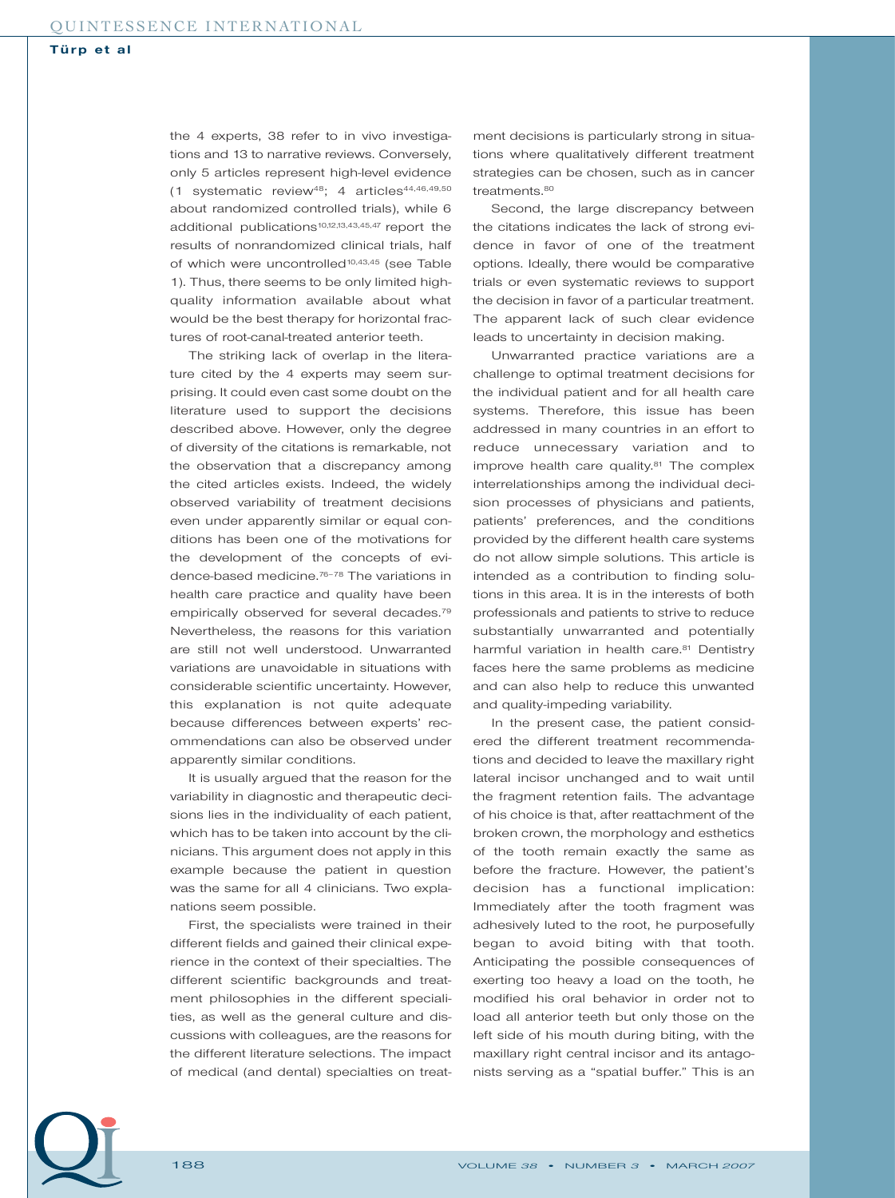the 4 experts, 38 refer to in vivo investigations and 13 to narrative reviews. Conversely, only 5 articles represent high-level evidence  $(1$  systematic review<sup>48</sup>; 4 articles<sup>44,46,49,50</sup> about randomized controlled trials), while 6 additional publications<sup>10,12,13,43,45,47</sup> report the results of nonrandomized clinical trials, half of which were uncontrolled<sup>10,43,45</sup> (see Table 1). Thus, there seems to be only limited highquality information available about what would be the best therapy for horizontal fractures of root-canal-treated anterior teeth.

The striking lack of overlap in the literature cited by the 4 experts may seem surprising. It could even cast some doubt on the literature used to support the decisions described above. However, only the degree of diversity of the citations is remarkable, not the observation that a discrepancy among the cited articles exists. Indeed, the widely observed variability of treatment decisions even under apparently similar or equal conditions has been one of the motivations for the development of the concepts of evidence-based medicine.76–78 The variations in health care practice and quality have been empirically observed for several decades.<sup>79</sup> Nevertheless, the reasons for this variation are still not well understood. Unwarranted variations are unavoidable in situations with considerable scientific uncertainty. However, this explanation is not quite adequate because differences between experts' recommendations can also be observed under apparently similar conditions.

It is usually argued that the reason for the variability in diagnostic and therapeutic decisions lies in the individuality of each patient, which has to be taken into account by the clinicians. This argument does not apply in this example because the patient in question was the same for all 4 clinicians. Two explanations seem possible.

First, the specialists were trained in their different fields and gained their clinical experience in the context of their specialties. The different scientific backgrounds and treatment philosophies in the different specialities, as well as the general culture and discussions with colleagues, are the reasons for the different literature selections. The impact of medical (and dental) specialties on treat-

ment decisions is particularly strong in situations where qualitatively different treatment strategies can be chosen, such as in cancer treatments.<sup>80</sup>

Second, the large discrepancy between the citations indicates the lack of strong evidence in favor of one of the treatment options. Ideally, there would be comparative trials or even systematic reviews to support the decision in favor of a particular treatment. The apparent lack of such clear evidence leads to uncertainty in decision making.

Unwarranted practice variations are a challenge to optimal treatment decisions for the individual patient and for all health care systems. Therefore, this issue has been addressed in many countries in an effort to reduce unnecessary variation and to improve health care quality.<sup>81</sup> The complex interrelationships among the individual decision processes of physicians and patients, patients' preferences, and the conditions provided by the different health care systems do not allow simple solutions. This article is intended as a contribution to finding solutions in this area. It is in the interests of both professionals and patients to strive to reduce substantially unwarranted and potentially harmful variation in health care.<sup>81</sup> Dentistry faces here the same problems as medicine and can also help to reduce this unwanted and quality-impeding variability.

In the present case, the patient considered the different treatment recommendations and decided to leave the maxillary right lateral incisor unchanged and to wait until the fragment retention fails. The advantage of his choice is that, after reattachment of the broken crown, the morphology and esthetics of the tooth remain exactly the same as before the fracture. However, the patient's decision has a functional implication: Immediately after the tooth fragment was adhesively luted to the root, he purposefully began to avoid biting with that tooth. Anticipating the possible consequences of exerting too heavy a load on the tooth, he modified his oral behavior in order not to load all anterior teeth but only those on the left side of his mouth during biting, with the maxillary right central incisor and its antagonists serving as a "spatial buffer." This is an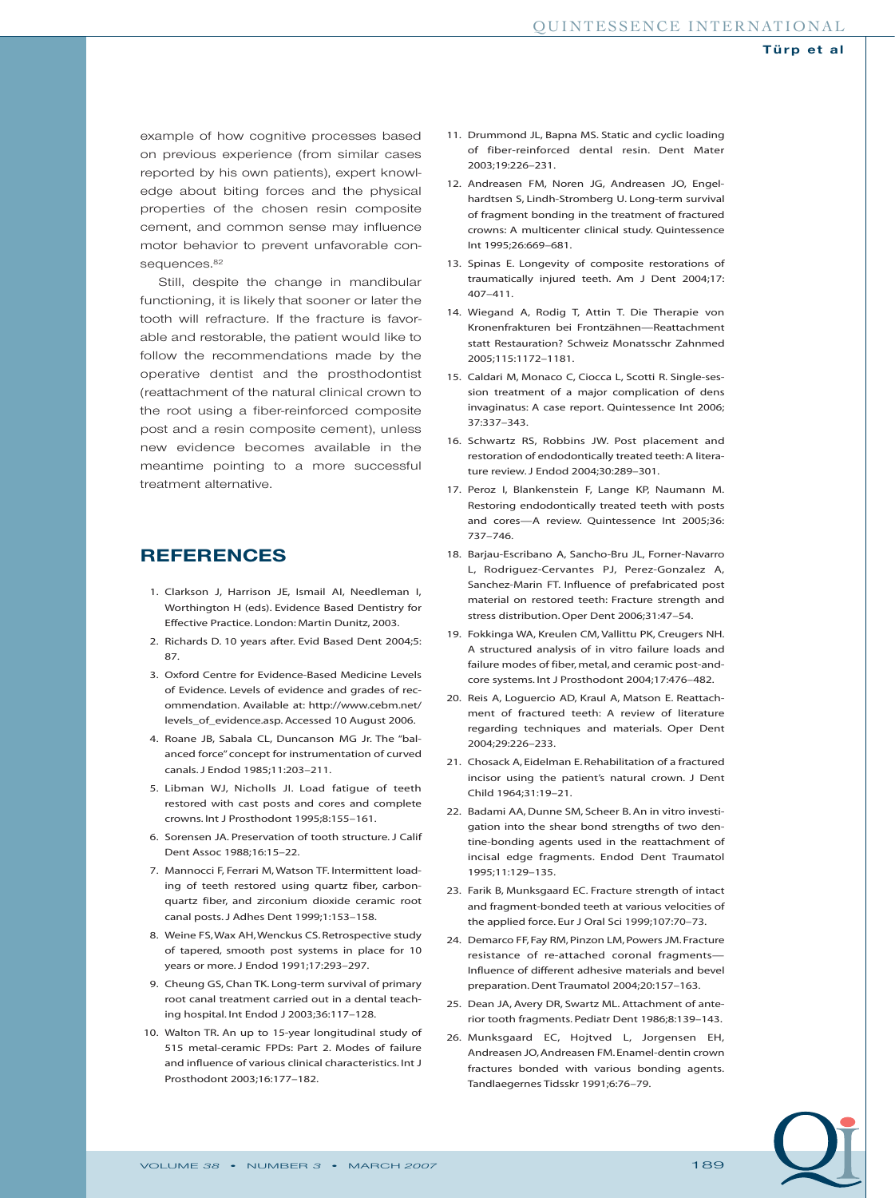example of how cognitive processes based on previous experience (from similar cases reported by his own patients), expert knowledge about biting forces and the physical properties of the chosen resin composite cement, and common sense may influence motor behavior to prevent unfavorable consequences.<sup>82</sup>

Still, despite the change in mandibular functioning, it is likely that sooner or later the tooth will refracture. If the fracture is favorable and restorable, the patient would like to follow the recommendations made by the operative dentist and the prosthodontist (reattachment of the natural clinical crown to the root using a fiber-reinforced composite post and a resin composite cement), unless new evidence becomes available in the meantime pointing to a more successful treatment alternative.

## **REFERENCES**

- 1. Clarkson J, Harrison JE, Ismail AI, Needleman I, Worthington H (eds). Evidence Based Dentistry for Effective Practice. London: Martin Dunitz, 2003.
- 2. Richards D. 10 years after. Evid Based Dent 2004;5: 87.
- 3. Oxford Centre for Evidence-Based Medicine Levels of Evidence. Levels of evidence and grades of recommendation. Available at: http://www.cebm.net/ levels\_of\_evidence.asp. Accessed 10 August 2006.
- 4. Roane JB, Sabala CL, Duncanson MG Jr. The "balanced force" concept for instrumentation of curved canals. J Endod 1985;11:203–211.
- 5. Libman WJ, Nicholls JI. Load fatigue of teeth restored with cast posts and cores and complete crowns. Int J Prosthodont 1995;8:155–161.
- 6. Sorensen JA. Preservation of tooth structure. J Calif Dent Assoc 1988;16:15–22.
- 7. Mannocci F, Ferrari M, Watson TF. Intermittent loading of teeth restored using quartz fiber, carbonquartz fiber, and zirconium dioxide ceramic root canal posts. J Adhes Dent 1999;1:153–158.
- 8. Weine FS,Wax AH,Wenckus CS. Retrospective study of tapered, smooth post systems in place for 10 years or more. J Endod 1991;17:293–297.
- 9. Cheung GS, Chan TK. Long-term survival of primary root canal treatment carried out in a dental teaching hospital. Int Endod J 2003;36:117–128.
- 10. Walton TR. An up to 15-year longitudinal study of 515 metal-ceramic FPDs: Part 2. Modes of failure and influence of various clinical characteristics. Int J Prosthodont 2003;16:177–182.
- 11. Drummond JL, Bapna MS. Static and cyclic loading of fiber-reinforced dental resin. Dent Mater 2003;19:226–231.
- 12. Andreasen FM, Noren JG, Andreasen JO, Engelhardtsen S, Lindh-Stromberg U. Long-term survival of fragment bonding in the treatment of fractured crowns: A multicenter clinical study. Quintessence Int 1995;26:669–681.
- 13. Spinas E. Longevity of composite restorations of traumatically injured teeth. Am J Dent 2004;17: 407–411.
- 14. Wiegand A, Rodig T, Attin T. Die Therapie von Kronenfrakturen bei Frontzähnen—Reattachment statt Restauration? Schweiz Monatsschr Zahnmed 2005;115:1172–1181.
- 15. Caldari M, Monaco C, Ciocca L, Scotti R. Single-session treatment of a major complication of dens invaginatus: A case report. Quintessence Int 2006; 37:337–343.
- 16. Schwartz RS, Robbins JW. Post placement and restoration of endodontically treated teeth: A literature review. J Endod 2004;30:289–301.
- 17. Peroz I, Blankenstein F, Lange KP, Naumann M. Restoring endodontically treated teeth with posts and cores—A review. Quintessence Int 2005;36: 737–746.
- 18. Barjau-Escribano A, Sancho-Bru JL, Forner-Navarro L, Rodriguez-Cervantes PJ, Perez-Gonzalez A, Sanchez-Marin FT. Influence of prefabricated post material on restored teeth: Fracture strength and stress distribution.Oper Dent 2006;31:47–54.
- 19. Fokkinga WA, Kreulen CM, Vallittu PK, Creugers NH. A structured analysis of in vitro failure loads and failure modes of fiber, metal, and ceramic post-andcore systems. Int J Prosthodont 2004;17:476–482.
- 20. Reis A, Loguercio AD, Kraul A, Matson E. Reattachment of fractured teeth: A review of literature regarding techniques and materials. Oper Dent 2004;29:226–233.
- 21. Chosack A, Eidelman E. Rehabilitation of a fractured incisor using the patient's natural crown. J Dent Child 1964;31:19–21.
- 22. Badami AA, Dunne SM, Scheer B. An in vitro investigation into the shear bond strengths of two dentine-bonding agents used in the reattachment of incisal edge fragments. Endod Dent Traumatol 1995;11:129–135.
- 23. Farik B, Munksgaard EC. Fracture strength of intact and fragment-bonded teeth at various velocities of the applied force. Eur J Oral Sci 1999;107:70–73.
- 24. Demarco FF, Fay RM, Pinzon LM, Powers JM. Fracture resistance of re-attached coronal fragments— Influence of different adhesive materials and bevel preparation. Dent Traumatol 2004;20:157–163.
- 25. Dean JA, Avery DR, Swartz ML. Attachment of anterior tooth fragments. Pediatr Dent 1986;8:139–143.
- 26. Munksgaard EC, Hojtved L, Jorgensen EH, Andreasen JO, Andreasen FM.Enamel-dentin crown fractures bonded with various bonding agents. Tandlaegernes Tidsskr 1991;6:76–79.

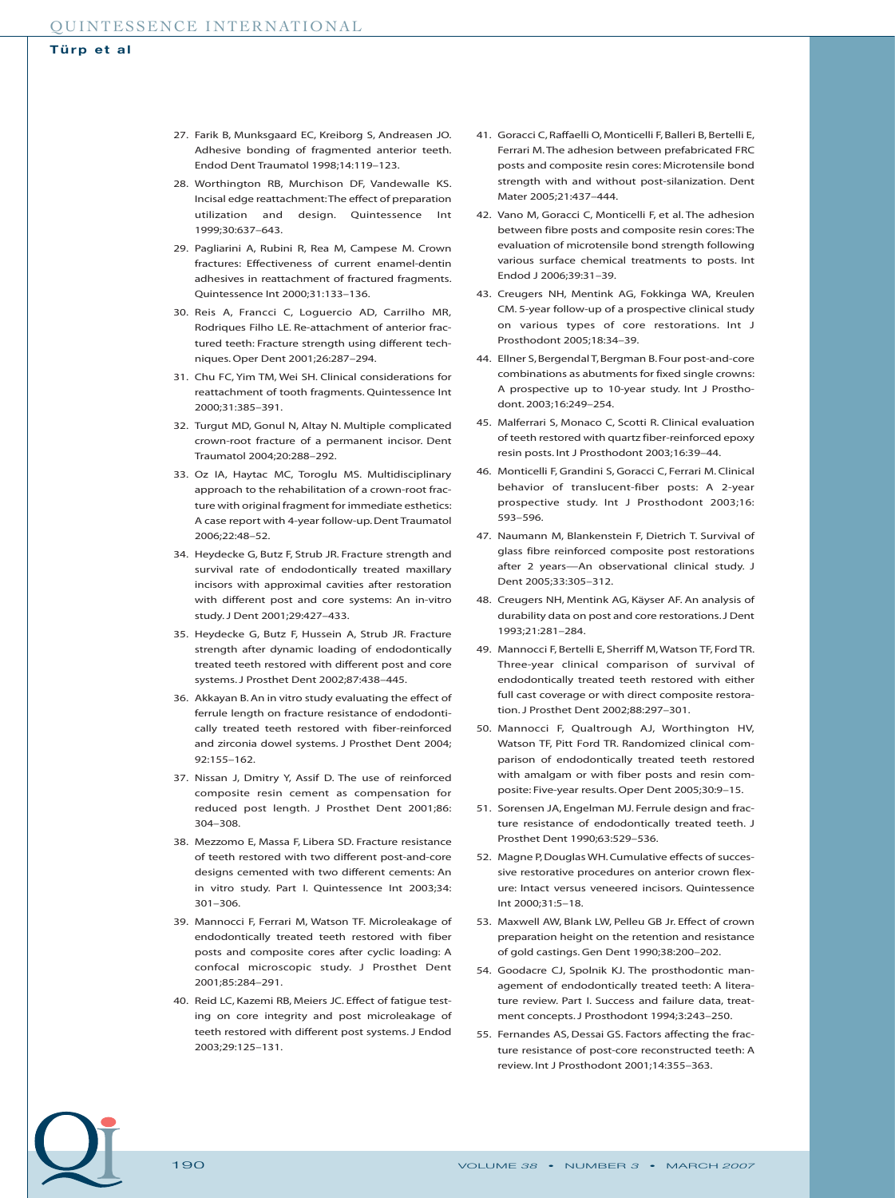- 27. Farik B, Munksgaard EC, Kreiborg S, Andreasen JO. Adhesive bonding of fragmented anterior teeth. Endod Dent Traumatol 1998;14:119–123.
- 28. Worthington RB, Murchison DF, Vandewalle KS. Incisal edge reattachment:The effect of preparation utilization and design. Quintessence Int 1999;30:637–643.
- 29. Pagliarini A, Rubini R, Rea M, Campese M. Crown fractures: Effectiveness of current enamel-dentin adhesives in reattachment of fractured fragments. Quintessence Int 2000;31:133–136.
- 30. Reis A, Francci C, Loguercio AD, Carrilho MR, Rodriques Filho LE. Re-attachment of anterior fractured teeth: Fracture strength using different techniques. Oper Dent 2001;26:287–294.
- 31. Chu FC, Yim TM, Wei SH. Clinical considerations for reattachment of tooth fragments. Quintessence Int 2000;31:385–391.
- 32. Turgut MD, Gonul N, Altay N. Multiple complicated crown-root fracture of a permanent incisor. Dent Traumatol 2004;20:288–292.
- 33. Oz IA, Haytac MC, Toroglu MS. Multidisciplinary approach to the rehabilitation of a crown-root fracture with original fragment for immediate esthetics: A case report with 4-year follow-up. Dent Traumatol 2006;22:48–52.
- 34. Heydecke G, Butz F, Strub JR. Fracture strength and survival rate of endodontically treated maxillary incisors with approximal cavities after restoration with different post and core systems: An in-vitro study.J Dent 2001;29:427–433.
- 35. Heydecke G, Butz F, Hussein A, Strub JR. Fracture strength after dynamic loading of endodontically treated teeth restored with different post and core systems. J Prosthet Dent 2002;87:438–445.
- 36. Akkayan B.An in vitro study evaluating the effect of ferrule length on fracture resistance of endodontically treated teeth restored with fiber-reinforced and zirconia dowel systems. J Prosthet Dent 2004; 92:155–162.
- 37. Nissan J, Dmitry Y, Assif D. The use of reinforced composite resin cement as compensation for reduced post length. J Prosthet Dent 2001;86: 304–308.
- 38. Mezzomo E, Massa F, Libera SD. Fracture resistance of teeth restored with two different post-and-core designs cemented with two different cements: An in vitro study. Part I. Quintessence Int 2003;34: 301–306.
- 39. Mannocci F, Ferrari M, Watson TF. Microleakage of endodontically treated teeth restored with fiber posts and composite cores after cyclic loading: A confocal microscopic study. J Prosthet Dent 2001;85:284–291.
- 40. Reid LC, Kazemi RB, Meiers JC. Effect of fatigue testing on core integrity and post microleakage of teeth restored with different post systems. J Endod 2003;29:125–131.
- 41. Goracci C, Raffaelli O, Monticelli F, Balleri B, Bertelli E, Ferrari M. The adhesion between prefabricated FRC posts and composite resin cores: Microtensile bond strength with and without post-silanization. Dent Mater 2005;21:437–444.
- 42. Vano M, Goracci C, Monticelli F, et al. The adhesion between fibre posts and composite resin cores:The evaluation of microtensile bond strength following various surface chemical treatments to posts. Int Endod J 2006;39:31–39.
- 43. Creugers NH, Mentink AG, Fokkinga WA, Kreulen CM. 5-year follow-up of a prospective clinical study on various types of core restorations. Int J Prosthodont 2005;18:34–39.
- 44. Ellner S, Bergendal T, Bergman B. Four post-and-core combinations as abutments for fixed single crowns: A prospective up to 10-year study. Int J Prosthodont. 2003;16:249–254.
- 45. Malferrari S, Monaco C, Scotti R. Clinical evaluation of teeth restored with quartz fiber-reinforced epoxy resin posts. Int J Prosthodont 2003;16:39–44.
- 46. Monticelli F, Grandini S, Goracci C, Ferrari M. Clinical behavior of translucent-fiber posts: A 2-year prospective study. Int J Prosthodont 2003;16: 593–596.
- 47. Naumann M, Blankenstein F, Dietrich T. Survival of glass fibre reinforced composite post restorations after 2 years—An observational clinical study. J Dent 2005;33:305–312.
- 48. Creugers NH, Mentink AG, Käyser AF. An analysis of durability data on post and core restorations. J Dent 1993;21:281–284.
- 49. Mannocci F, Bertelli E, Sherriff M, Watson TF, Ford TR. Three-year clinical comparison of survival of endodontically treated teeth restored with either full cast coverage or with direct composite restoration. J Prosthet Dent 2002;88:297–301.
- 50. Mannocci F, Qualtrough AJ, Worthington HV, Watson TF, Pitt Ford TR. Randomized clinical comparison of endodontically treated teeth restored with amalgam or with fiber posts and resin composite: Five-year results. Oper Dent 2005;30:9–15.
- 51. Sorensen JA, Engelman MJ. Ferrule design and fracture resistance of endodontically treated teeth. J Prosthet Dent 1990;63:529–536.
- 52. Magne P, Douglas WH. Cumulative effects of successive restorative procedures on anterior crown flexure: Intact versus veneered incisors. Quintessence Int 2000;31:5–18.
- 53. Maxwell AW, Blank LW, Pelleu GB Jr. Effect of crown preparation height on the retention and resistance of gold castings. Gen Dent 1990;38:200–202.
- 54. Goodacre CJ, Spolnik KJ. The prosthodontic management of endodontically treated teeth: A literature review. Part I. Success and failure data, treatment concepts. J Prosthodont 1994;3:243–250.
- 55. Fernandes AS, Dessai GS. Factors affecting the fracture resistance of post-core reconstructed teeth: A review. Int J Prosthodont 2001;14:355–363.